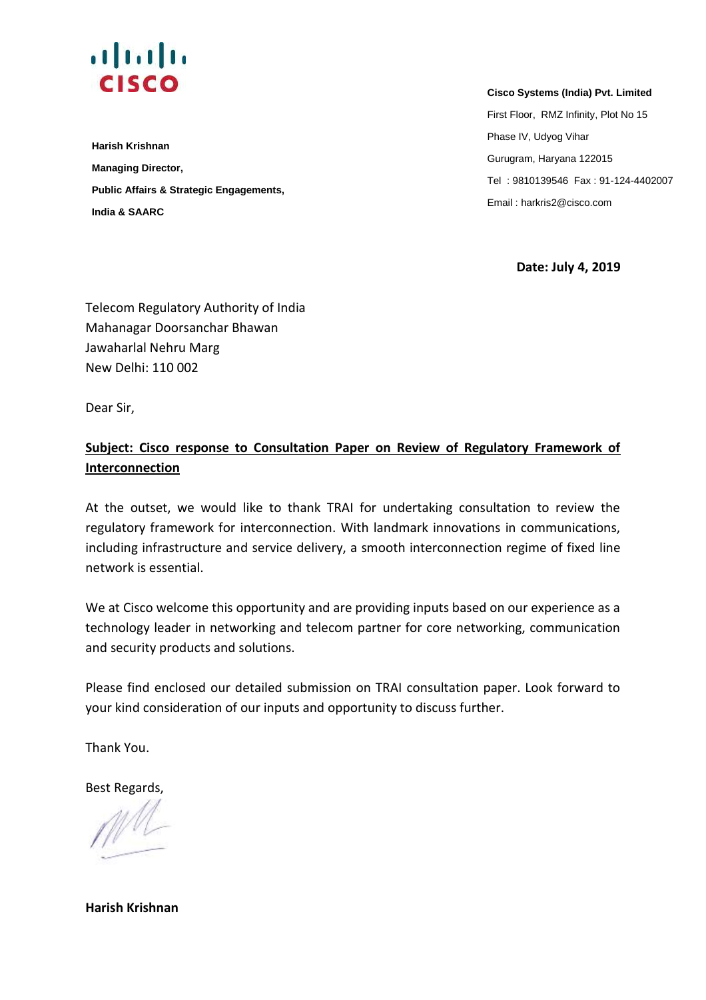

**Harish Krishnan Managing Director, Public Affairs & Strategic Engagements, India & SAARC** 

 **Cisco Systems (India) Pvt. Limited**

 First Floor, RMZ Infinity, Plot No 15 Phase IV, Udyog Vihar Gurugram, Haryana 122015 Tel : 9810139546 Fax : 91-124-4402007 Email : harkris2@cisco.com

**Date: July 4, 2019** 

Telecom Regulatory Authority of India Mahanagar Doorsanchar Bhawan Jawaharlal Nehru Marg New Delhi: 110 002

Dear Sir,

### **Subject: Cisco response to Consultation Paper on Review of Regulatory Framework of Interconnection**

At the outset, we would like to thank TRAI for undertaking consultation to review the regulatory framework for interconnection. With landmark innovations in communications, including infrastructure and service delivery, a smooth interconnection regime of fixed line network is essential.

We at Cisco welcome this opportunity and are providing inputs based on our experience as a technology leader in networking and telecom partner for core networking, communication and security products and solutions.

Please find enclosed our detailed submission on TRAI consultation paper. Look forward to your kind consideration of our inputs and opportunity to discuss further.

Thank You.

Best Regards,

**Harish Krishnan**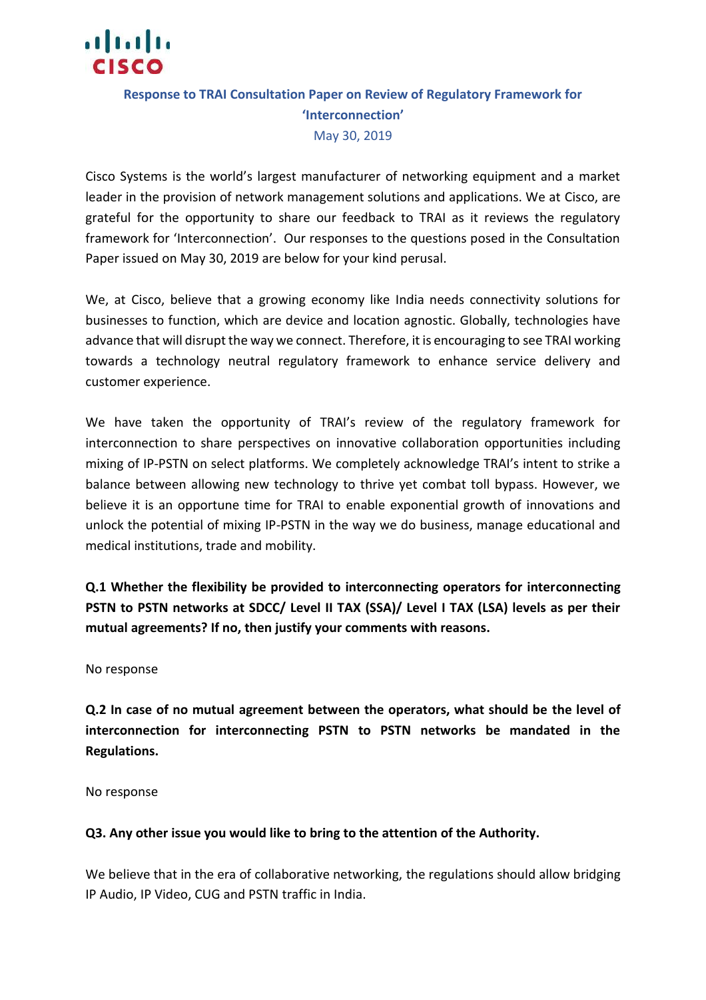

### **Response to TRAI Consultation Paper on Review of Regulatory Framework for 'Interconnection'** May 30, 2019

Cisco Systems is the world's largest manufacturer of networking equipment and a market leader in the provision of network management solutions and applications. We at Cisco, are grateful for the opportunity to share our feedback to TRAI as it reviews the regulatory framework for 'Interconnection'. Our responses to the questions posed in the Consultation Paper issued on May 30, 2019 are below for your kind perusal.

We, at Cisco, believe that a growing economy like India needs connectivity solutions for businesses to function, which are device and location agnostic. Globally, technologies have advance that will disrupt the way we connect. Therefore, it is encouraging to see TRAI working towards a technology neutral regulatory framework to enhance service delivery and customer experience.

We have taken the opportunity of TRAI's review of the regulatory framework for interconnection to share perspectives on innovative collaboration opportunities including mixing of IP-PSTN on select platforms. We completely acknowledge TRAI's intent to strike a balance between allowing new technology to thrive yet combat toll bypass. However, we believe it is an opportune time for TRAI to enable exponential growth of innovations and unlock the potential of mixing IP-PSTN in the way we do business, manage educational and medical institutions, trade and mobility.

**Q.1 Whether the flexibility be provided to interconnecting operators for interconnecting PSTN to PSTN networks at SDCC/ Level II TAX (SSA)/ Level I TAX (LSA) levels as per their mutual agreements? If no, then justify your comments with reasons.** 

No response

**Q.2 In case of no mutual agreement between the operators, what should be the level of interconnection for interconnecting PSTN to PSTN networks be mandated in the Regulations.** 

No response

#### **Q3. Any other issue you would like to bring to the attention of the Authority.**

We believe that in the era of collaborative networking, the regulations should allow bridging IP Audio, IP Video, CUG and PSTN traffic in India.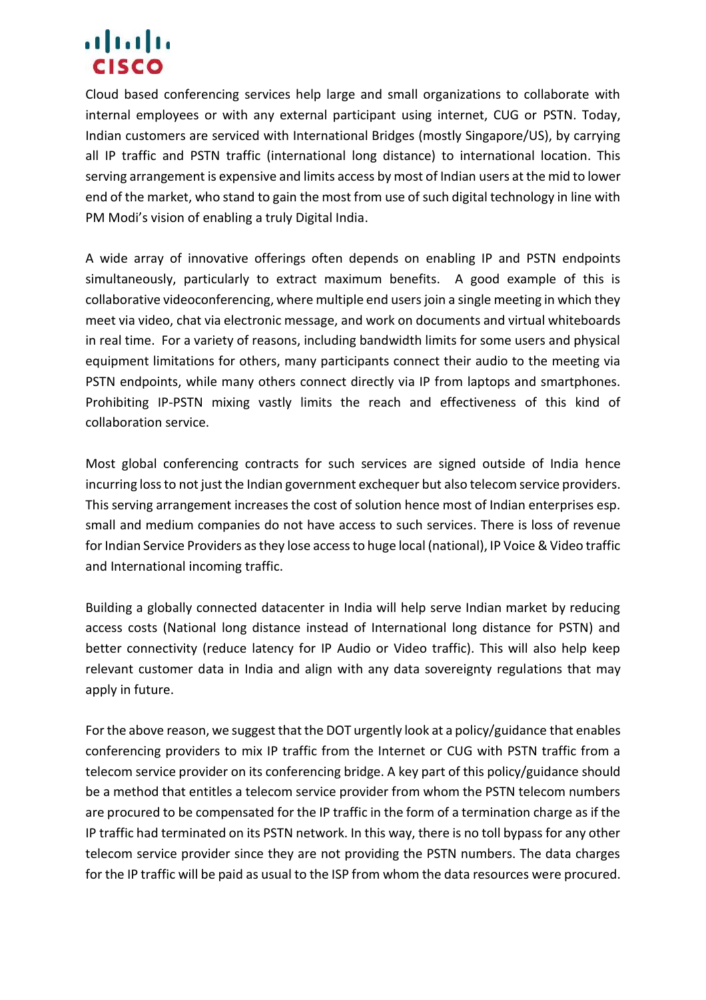## ahah **CISCO**

Cloud based conferencing services help large and small organizations to collaborate with internal employees or with any external participant using internet, CUG or PSTN. Today, Indian customers are serviced with International Bridges (mostly Singapore/US), by carrying all IP traffic and PSTN traffic (international long distance) to international location. This serving arrangement is expensive and limits access by most of Indian users at the mid to lower end of the market, who stand to gain the most from use of such digital technology in line with PM Modi's vision of enabling a truly Digital India.

A wide array of innovative offerings often depends on enabling IP and PSTN endpoints simultaneously, particularly to extract maximum benefits. A good example of this is collaborative videoconferencing, where multiple end users join a single meeting in which they meet via video, chat via electronic message, and work on documents and virtual whiteboards in real time. For a variety of reasons, including bandwidth limits for some users and physical equipment limitations for others, many participants connect their audio to the meeting via PSTN endpoints, while many others connect directly via IP from laptops and smartphones. Prohibiting IP-PSTN mixing vastly limits the reach and effectiveness of this kind of collaboration service.

Most global conferencing contracts for such services are signed outside of India hence incurring loss to not just the Indian government exchequer but also telecom service providers. This serving arrangement increases the cost of solution hence most of Indian enterprises esp. small and medium companies do not have access to such services. There is loss of revenue for Indian Service Providers as they lose access to huge local (national), IP Voice & Video traffic and International incoming traffic.

Building a globally connected datacenter in India will help serve Indian market by reducing access costs (National long distance instead of International long distance for PSTN) and better connectivity (reduce latency for IP Audio or Video traffic). This will also help keep relevant customer data in India and align with any data sovereignty regulations that may apply in future.

For the above reason, we suggest that the DOT urgently look at a policy/guidance that enables conferencing providers to mix IP traffic from the Internet or CUG with PSTN traffic from a telecom service provider on its conferencing bridge. A key part of this policy/guidance should be a method that entitles a telecom service provider from whom the PSTN telecom numbers are procured to be compensated for the IP traffic in the form of a termination charge as if the IP traffic had terminated on its PSTN network. In this way, there is no toll bypass for any other telecom service provider since they are not providing the PSTN numbers. The data charges for the IP traffic will be paid as usual to the ISP from whom the data resources were procured.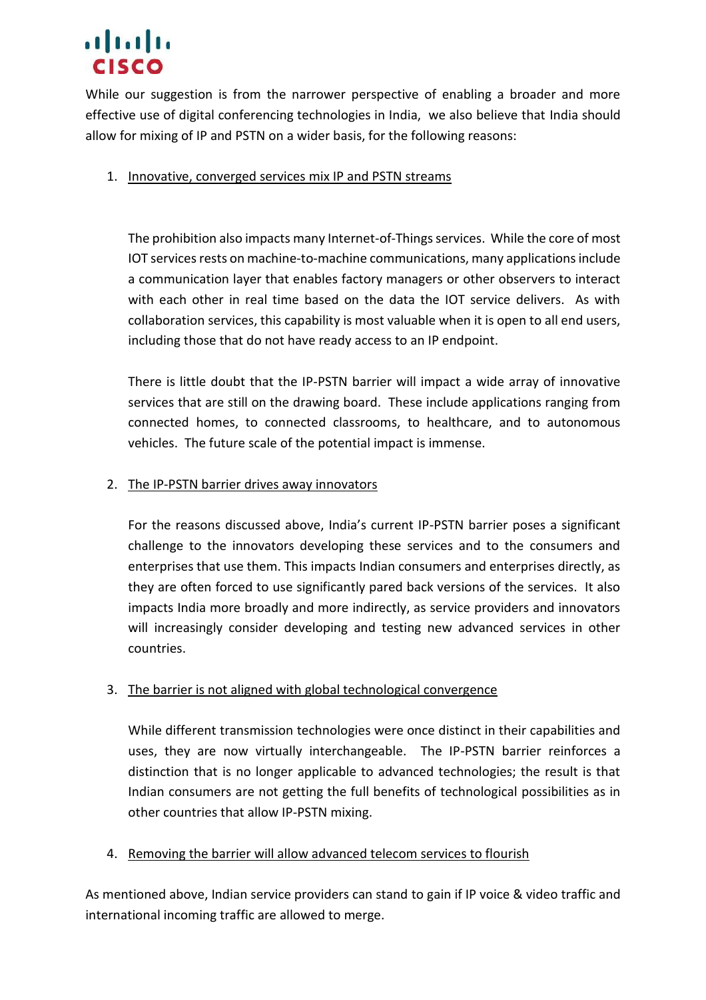# almla **CISCO**

While our suggestion is from the narrower perspective of enabling a broader and more effective use of digital conferencing technologies in India, we also believe that India should allow for mixing of IP and PSTN on a wider basis, for the following reasons:

#### 1. Innovative, converged services mix IP and PSTN streams

The prohibition also impacts many Internet-of-Things services. While the core of most IOT services rests on machine-to-machine communications, many applications include a communication layer that enables factory managers or other observers to interact with each other in real time based on the data the IOT service delivers. As with collaboration services, this capability is most valuable when it is open to all end users, including those that do not have ready access to an IP endpoint.

There is little doubt that the IP-PSTN barrier will impact a wide array of innovative services that are still on the drawing board. These include applications ranging from connected homes, to connected classrooms, to healthcare, and to autonomous vehicles. The future scale of the potential impact is immense.

#### 2. The IP-PSTN barrier drives away innovators

For the reasons discussed above, India's current IP-PSTN barrier poses a significant challenge to the innovators developing these services and to the consumers and enterprises that use them. This impacts Indian consumers and enterprises directly, as they are often forced to use significantly pared back versions of the services. It also impacts India more broadly and more indirectly, as service providers and innovators will increasingly consider developing and testing new advanced services in other countries.

#### 3. The barrier is not aligned with global technological convergence

While different transmission technologies were once distinct in their capabilities and uses, they are now virtually interchangeable. The IP-PSTN barrier reinforces a distinction that is no longer applicable to advanced technologies; the result is that Indian consumers are not getting the full benefits of technological possibilities as in other countries that allow IP-PSTN mixing.

#### 4. Removing the barrier will allow advanced telecom services to flourish

As mentioned above, Indian service providers can stand to gain if IP voice & video traffic and international incoming traffic are allowed to merge.